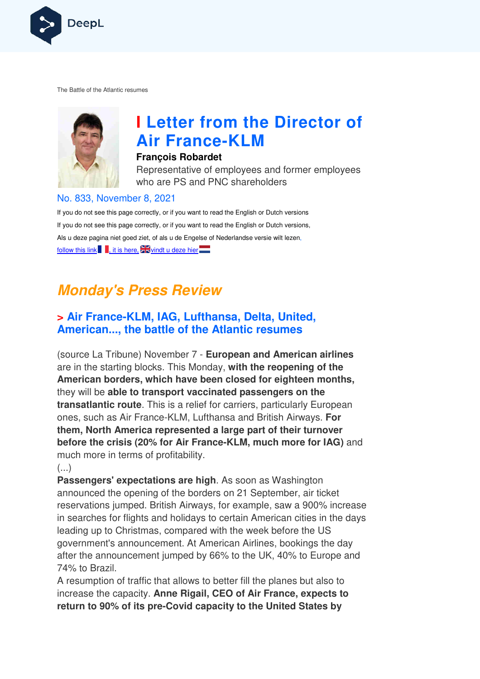

The Battle of the Atlantic resumes



# **I Letter from the Director of Air France France-KLM**

#### **François Robardet**

Representative of employees and former employees who are PS and PNC shareholders

#### No. 833, November 8, 2021

If you do not see this page correctly, or if you want to read the English or Dutch versions If you do not see this page correctly, or if you want to read the English or Dutch versions, Als u deze pagina niet goed ziet, of als u de Engelse of Nederlandse versie wilt lezen, follow this link , it is here,  $\frac{1}{2}$  windt u deze hier

## **Monday's Press Review**

## **> Air France-KLM, IAG, Lufthansa, Delta, United, American..., the battle of the Atlantic resumes**

(source La Tribune) November 7 - **European and American airlines**  are in the starting blocks. This Monday, **with the reopening of the American borders, which have been closed for eighteen months,**  they will be **able to transport vaccinated passengers on the transatlantic route**. This is a relief for carriers, particularly European ones, such as Air France-KLM, Lufthansa and British Airways. For **them, North America represented a large part of their turnover before the crisis (20% for Air France France-KLM, much more for IAG)** and much more in terms of profitability.

 $\left(\ldots\right)$ 

**Passengers' expectations are high** . As soon as Washington announced the opening of the borders on 21 September, air ticket reservations jumped. British Airways, for example, saw a 900% increase in searches for flights and holidays to certain American cities in the day leading up to Christmas, compared with the week before the US government's announcement. At American Airlines, bookings the day after the announcement jumped by 66% to the UK, 40% to Europe and 74% to Brazil. is a relief for carriers, particularly European<br>
KLM, Lufthansa and British Airways. For<br>
presented a large part of their turnover<br>
or Air France-KLM, much more for IAG) and<br>
ofitability.<br>
ns are high. As soon as Washingto

A resumption of traffic that allows to better fill the planes but also to increase the capacity. **Anne Rigail, CEO of Air France, expects to return to 90% of its pre-Covid capacity to the United States by**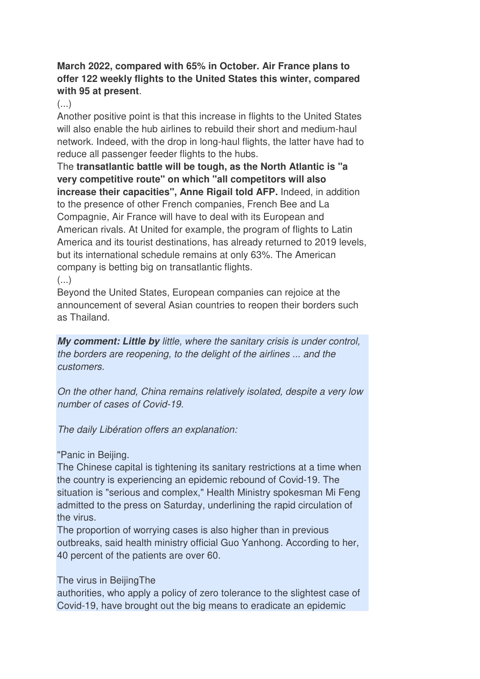#### **March 2022, compared with 65% in October. Air France plans to offer 122 weekly flights to the United States this winter, compared with 95 at present**.

#### $\left( \ldots \right)$

Another positive point is that this increase in flights to the United States will also enable the hub airlines to rebuild their short and medium-haul network. Indeed, with the drop in long-haul flights, the latter have had to reduce all passenger feeder flights to the hubs.

The **transatlantic battle will be tough, as the North Atlantic is "a very competitive route" on which "all competitors will also increase their capacities", Anne Rigail told AFP.** Indeed, in addition to the presence of other French companies, French Bee and La Compagnie, Air France will have to deal with its European and American rivals. At United for example, the program of flights to Latin America and its tourist destinations, has already returned to 2019 levels, but its international schedule remains at only 63%. The American company is betting big on transatlantic flights.  $(\ldots)$ 

Beyond the United States, European companies can rejoice at the announcement of several Asian countries to reopen their borders such as Thailand.

**My comment: Little by** little, where the sanitary crisis is under control, the borders are reopening, to the delight of the airlines ... and the customers.

On the other hand, China remains relatively isolated, despite a very low number of cases of Covid-19.

The daily Libération offers an explanation:

"Panic in Beijing.

The Chinese capital is tightening its sanitary restrictions at a time when the country is experiencing an epidemic rebound of Covid-19. The situation is "serious and complex," Health Ministry spokesman Mi Feng admitted to the press on Saturday, underlining the rapid circulation of the virus.

The proportion of worrying cases is also higher than in previous outbreaks, said health ministry official Guo Yanhong. According to her, 40 percent of the patients are over 60.

The virus in BeijingThe

authorities, who apply a policy of zero tolerance to the slightest case of Covid-19, have brought out the big means to eradicate an epidemic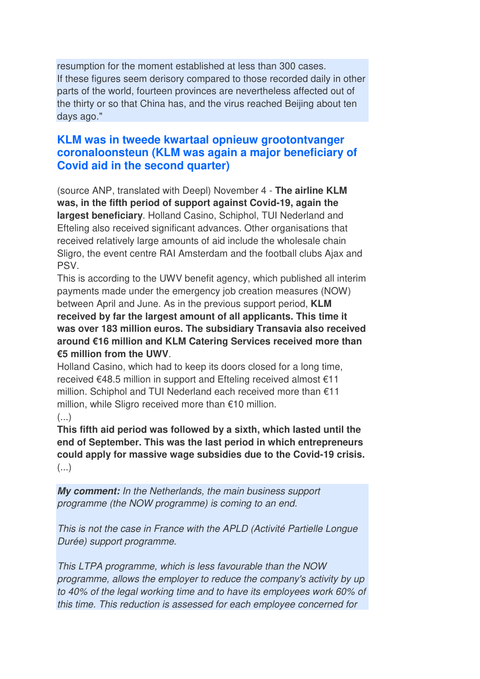resumption for the moment established at less than 300 cases. If these figures seem derisory compared to those recorded daily in other parts of the world, fourteen provinces are nevertheless affected out of the thirty or so that China has, and the virus reached Beijing about ten days ago."

## **KLM was in tweede kwartaal opnieuw grootontvanger coronaloonsteun (KLM was again a major beneficiary of Covid aid in the second quarter)**

(source ANP, translated with Deepl) November 4 - **The airline KLM was, in the fifth period of support against Covid-19, again the largest beneficiary**. Holland Casino, Schiphol, TUI Nederland and Efteling also received significant advances. Other organisations that received relatively large amounts of aid include the wholesale chain Sligro, the event centre RAI Amsterdam and the football clubs Ajax and PSV.

This is according to the UWV benefit agency, which published all interim payments made under the emergency job creation measures (NOW) between April and June. As in the previous support period, **KLM received by far the largest amount of all applicants. This time it was over 183 million euros. The subsidiary Transavia also received around €16 million and KLM Catering Services received more than €5 million from the UWV**.

Holland Casino, which had to keep its doors closed for a long time, received €48.5 million in support and Efteling received almost €11 million. Schiphol and TUI Nederland each received more than €11 million, while Sligro received more than €10 million.

#### (...)

**This fifth aid period was followed by a sixth, which lasted until the end of September. This was the last period in which entrepreneurs could apply for massive wage subsidies due to the Covid-19 crisis.**  (...)

**My comment:** In the Netherlands, the main business support programme (the NOW programme) is coming to an end.

This is not the case in France with the APLD (Activité Partielle Longue Durée) support programme.

This LTPA programme, which is less favourable than the NOW programme, allows the employer to reduce the company's activity by up to 40% of the legal working time and to have its employees work 60% of this time. This reduction is assessed for each employee concerned for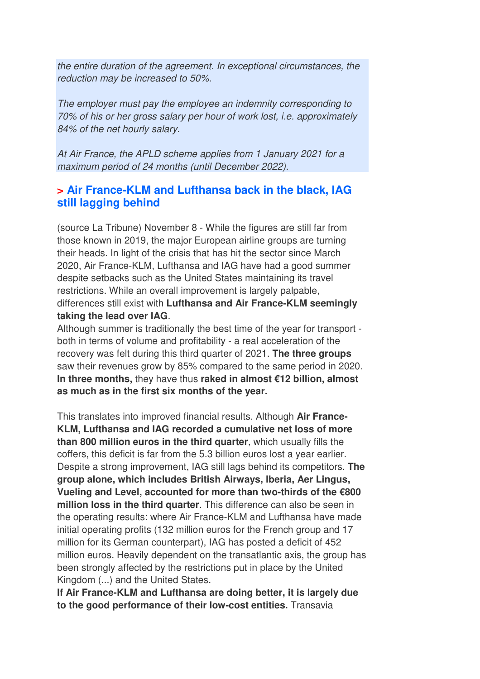the entire duration of the agreement. In exceptional circumstances, the reduction may be increased to 50%.

The employer must pay the employee an indemnity corresponding to 70% of his or her gross salary per hour of work lost, i.e. approximately 84% of the net hourly salary.

At Air France, the APLD scheme applies from 1 January 2021 for a maximum period of 24 months (until December 2022).

#### **> Air France-KLM and Lufthansa back in the black, IAG still lagging behind**

(source La Tribune) November 8 - While the figures are still far from those known in 2019, the major European airline groups are turning their heads. In light of the crisis that has hit the sector since March 2020, Air France-KLM, Lufthansa and IAG have had a good summer despite setbacks such as the United States maintaining its travel restrictions. While an overall improvement is largely palpable, differences still exist with **Lufthansa and Air France-KLM seemingly taking the lead over IAG**.

Although summer is traditionally the best time of the year for transport both in terms of volume and profitability - a real acceleration of the recovery was felt during this third quarter of 2021. **The three groups**  saw their revenues grow by 85% compared to the same period in 2020. **In three months,** they have thus **raked in almost €12 billion, almost as much as in the first six months of the year.** 

This translates into improved financial results. Although **Air France-KLM, Lufthansa and IAG recorded a cumulative net loss of more than 800 million euros in the third quarter**, which usually fills the coffers, this deficit is far from the 5.3 billion euros lost a year earlier. Despite a strong improvement, IAG still lags behind its competitors. **The group alone, which includes British Airways, Iberia, Aer Lingus, Vueling and Level, accounted for more than two-thirds of the €800 million loss in the third quarter**. This difference can also be seen in the operating results: where Air France-KLM and Lufthansa have made initial operating profits (132 million euros for the French group and 17 million for its German counterpart), IAG has posted a deficit of 452 million euros. Heavily dependent on the transatlantic axis, the group has been strongly affected by the restrictions put in place by the United Kingdom (...) and the United States.

**If Air France-KLM and Lufthansa are doing better, it is largely due to the good performance of their low-cost entities.** Transavia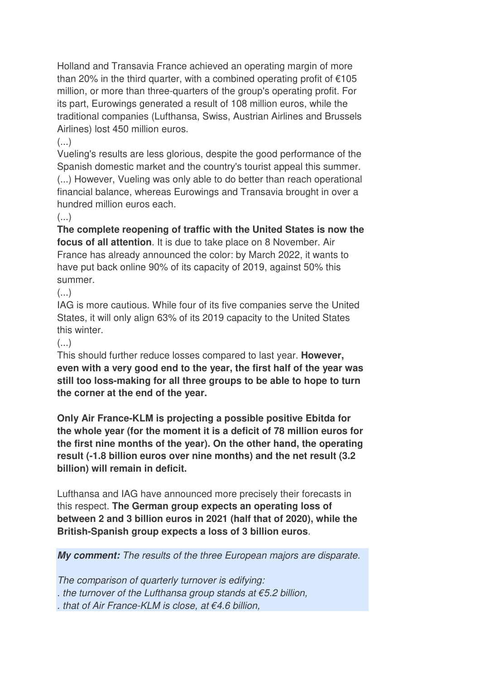Holland and Transavia France achieved an operating margin of more than 20% in the third quarter, with a combined operating profit of  $\epsilon$ 105 million, or more than three-quarters of the group's operating profit. For its part, Eurowings generated a result of 108 million euros, while the traditional companies (Lufthansa, Swiss, Austrian Airlines and Brussels Airlines) lost 450 million euros.

 $\left( \ldots \right)$ 

Vueling's results are less glorious, despite the good performance of the Spanish domestic market and the country's tourist appeal this summer. (...) However, Vueling was only able to do better than reach operational financial balance, whereas Eurowings and Transavia brought in over a hundred million euros each.

#### $\left( \ldots \right)$

**The complete reopening of traffic with the United States is now the focus of all attention**. It is due to take place on 8 November. Air France has already announced the color: by March 2022, it wants to have put back online 90% of its capacity of 2019, against 50% this summer.

 $(\ldots)$ 

IAG is more cautious. While four of its five companies serve the United States, it will only align 63% of its 2019 capacity to the United States this winter.

#### $(\ldots)$

This should further reduce losses compared to last year. **However, even with a very good end to the year, the first half of the year was still too loss-making for all three groups to be able to hope to turn the corner at the end of the year.** 

**Only Air France-KLM is projecting a possible positive Ebitda for the whole year (for the moment it is a deficit of 78 million euros for the first nine months of the year). On the other hand, the operating result (-1.8 billion euros over nine months) and the net result (3.2 billion) will remain in deficit.** 

Lufthansa and IAG have announced more precisely their forecasts in this respect. **The German group expects an operating loss of between 2 and 3 billion euros in 2021 (half that of 2020), while the British-Spanish group expects a loss of 3 billion euros**.

**My comment:** The results of the three European majors are disparate.

The comparison of quarterly turnover is edifying: . the turnover of the Lufthansa group stands at  $\epsilon$ 5.2 billion, . that of Air France-KLM is close, at €4.6 billion,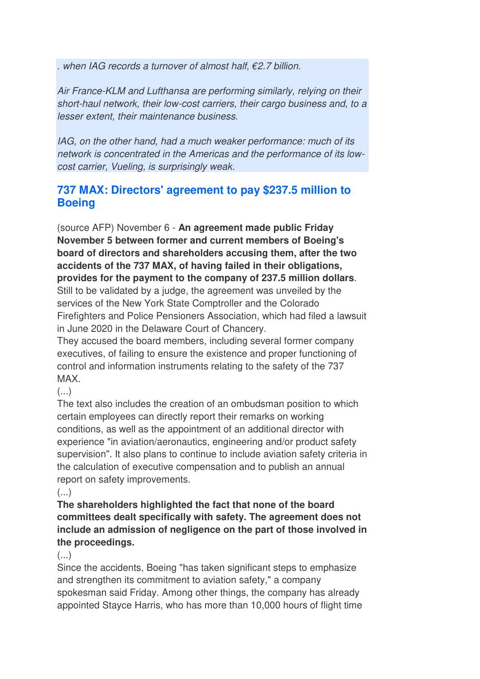. when IAG records a turnover of almost half, €2.7 billion.

Air France-KLM and Lufthansa are performing similarly, relying on their short-haul network, their low-cost carriers, their cargo business and, to a lesser extent, their maintenance business.

IAG, on the other hand, had a much weaker performance: much of its network is concentrated in the Americas and the performance of its lowcost carrier, Vueling, is surprisingly weak.

## **737 MAX: Directors' agreement to pay \$237.5 million to Boeing**

(source AFP) November 6 - **An agreement made public Friday November 5 between former and current members of Boeing's board of directors and shareholders accusing them, after the two accidents of the 737 MAX, of having failed in their obligations, provides for the payment to the company of 237.5 million dollars**. Still to be validated by a judge, the agreement was unveiled by the services of the New York State Comptroller and the Colorado Firefighters and Police Pensioners Association, which had filed a lawsuit in June 2020 in the Delaware Court of Chancery.

They accused the board members, including several former company executives, of failing to ensure the existence and proper functioning of control and information instruments relating to the safety of the 737 MAX.

## $(\ldots)$

The text also includes the creation of an ombudsman position to which certain employees can directly report their remarks on working conditions, as well as the appointment of an additional director with experience "in aviation/aeronautics, engineering and/or product safety supervision". It also plans to continue to include aviation safety criteria in the calculation of executive compensation and to publish an annual report on safety improvements.

 $(\ldots)$ 

**The shareholders highlighted the fact that none of the board committees dealt specifically with safety. The agreement does not include an admission of negligence on the part of those involved in the proceedings.** 

#### $\left( \ldots \right)$

Since the accidents, Boeing "has taken significant steps to emphasize and strengthen its commitment to aviation safety," a company spokesman said Friday. Among other things, the company has already appointed Stayce Harris, who has more than 10,000 hours of flight time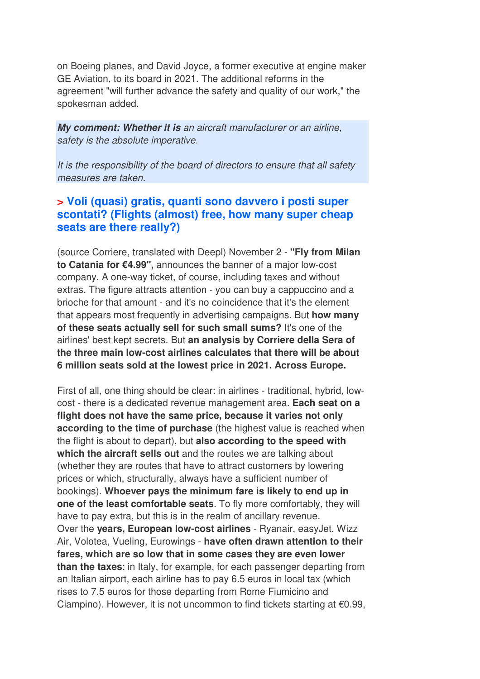on Boeing planes, and David Joyce, a former executive at engine maker GE Aviation, to its board in 2021. The additional reforms in the agreement "will further advance the safety and quality of our work," the spokesman added.

**My comment: Whether it is** an aircraft manufacturer or an airline, safety is the absolute imperative.

It is the responsibility of the board of directors to ensure that all safety measures are taken.

#### **> Voli (quasi) gratis, quanti sono davvero i posti super scontati? (Flights (almost) free, how many super cheap seats are there really?)**

(source Corriere, translated with Deepl) November 2 - **"Fly from Milan to Catania for €4.99",** announces the banner of a major low-cost company. A one-way ticket, of course, including taxes and without extras. The figure attracts attention - you can buy a cappuccino and a brioche for that amount - and it's no coincidence that it's the element that appears most frequently in advertising campaigns. But **how many of these seats actually sell for such small sums?** It's one of the airlines' best kept secrets. But **an analysis by Corriere della Sera of the three main low-cost airlines calculates that there will be about 6 million seats sold at the lowest price in 2021. Across Europe.** 

First of all, one thing should be clear: in airlines - traditional, hybrid, lowcost - there is a dedicated revenue management area. **Each seat on a flight does not have the same price, because it varies not only according to the time of purchase** (the highest value is reached when the flight is about to depart), but **also according to the speed with which the aircraft sells out** and the routes we are talking about (whether they are routes that have to attract customers by lowering prices or which, structurally, always have a sufficient number of bookings). **Whoever pays the minimum fare is likely to end up in one of the least comfortable seats**. To fly more comfortably, they will have to pay extra, but this is in the realm of ancillary revenue. Over the **years, European low-cost airlines** - Ryanair, easyJet, Wizz Air, Volotea, Vueling, Eurowings - **have often drawn attention to their fares, which are so low that in some cases they are even lower than the taxes**: in Italy, for example, for each passenger departing from an Italian airport, each airline has to pay 6.5 euros in local tax (which rises to 7.5 euros for those departing from Rome Fiumicino and Ciampino). However, it is not uncommon to find tickets starting at €0.99,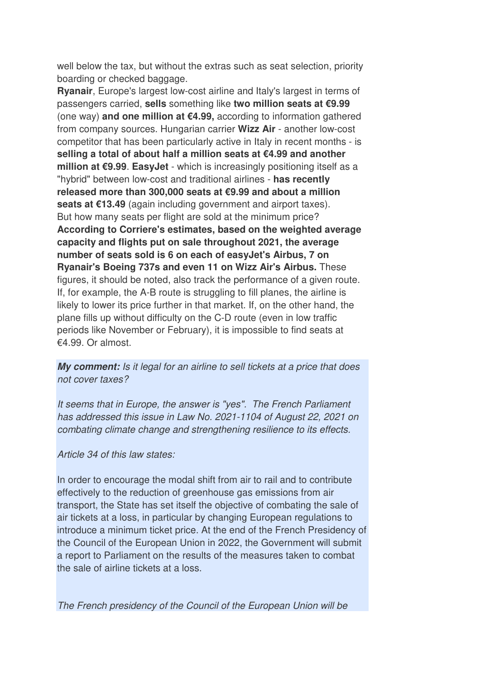well below the tax, but without the extras such as seat selection, priority boarding or checked baggage.

**Ryanair**, Europe's largest low-cost airline and Italy's largest in terms of passengers carried, **sells** something like **two million seats at €9.99**  (one way) **and one million at €4.99,** according to information gathered from company sources. Hungarian carrier **Wizz Air** - another low-cost competitor that has been particularly active in Italy in recent months - is **selling a total of about half a million seats at €4.99 and another million at €9.99**. **EasyJet** - which is increasingly positioning itself as a "hybrid" between low-cost and traditional airlines - **has recently released more than 300,000 seats at €9.99 and about a million seats at €13.49** (again including government and airport taxes). But how many seats per flight are sold at the minimum price? **According to Corriere's estimates, based on the weighted average capacity and flights put on sale throughout 2021, the average number of seats sold is 6 on each of easyJet's Airbus, 7 on Ryanair's Boeing 737s and even 11 on Wizz Air's Airbus.** These figures, it should be noted, also track the performance of a given route. If, for example, the A-B route is struggling to fill planes, the airline is likely to lower its price further in that market. If, on the other hand, the plane fills up without difficulty on the C-D route (even in low traffic periods like November or February), it is impossible to find seats at  $£4.99$  Or almost.

**My comment:** Is it legal for an airline to sell tickets at a price that does not cover taxes?

It seems that in Europe, the answer is "yes". The French Parliament has addressed this issue in Law No. 2021-1104 of August 22, 2021 on combating climate change and strengthening resilience to its effects.

Article 34 of this law states:

In order to encourage the modal shift from air to rail and to contribute effectively to the reduction of greenhouse gas emissions from air transport, the State has set itself the objective of combating the sale of air tickets at a loss, in particular by changing European regulations to introduce a minimum ticket price. At the end of the French Presidency of the Council of the European Union in 2022, the Government will submit a report to Parliament on the results of the measures taken to combat the sale of airline tickets at a loss.

The French presidency of the Council of the European Union will be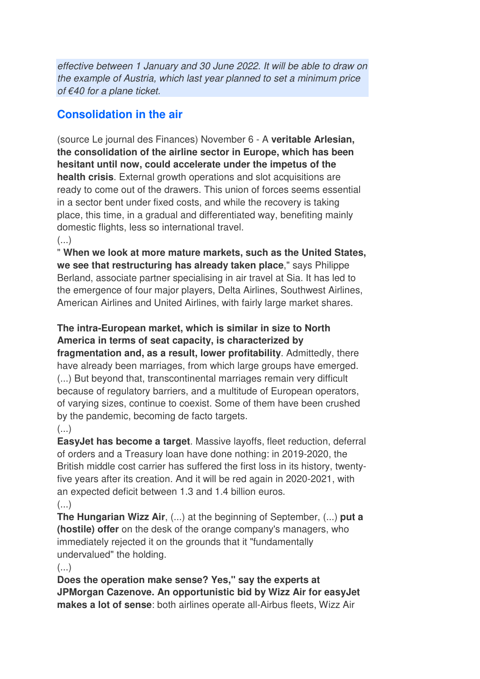effective between 1 January and 30 June 2022. It will be able to draw on the example of Austria, which last year planned to set a minimum price of €40 for a plane ticket.

## **Consolidation in the air**

(source Le journal des Finances) November 6 - A **veritable Arlesian, the consolidation of the airline sector in Europe, which has been hesitant until now, could accelerate under the impetus of the health crisis**. External growth operations and slot acquisitions are ready to come out of the drawers. This union of forces seems essential in a sector bent under fixed costs, and while the recovery is taking place, this time, in a gradual and differentiated way, benefiting mainly domestic flights, less so international travel.  $($ ...)

" **When we look at more mature markets, such as the United States, we see that restructuring has already taken place**," says Philippe Berland, associate partner specialising in air travel at Sia. It has led to the emergence of four major players, Delta Airlines, Southwest Airlines, American Airlines and United Airlines, with fairly large market shares.

**The intra-European market, which is similar in size to North America in terms of seat capacity, is characterized by fragmentation and, as a result, lower profitability**. Admittedly, there have already been marriages, from which large groups have emerged. (...) But beyond that, transcontinental marriages remain very difficult because of regulatory barriers, and a multitude of European operators, of varying sizes, continue to coexist. Some of them have been crushed by the pandemic, becoming de facto targets.

#### $\left( \ldots \right)$

**EasyJet has become a target**. Massive layoffs, fleet reduction, deferral of orders and a Treasury loan have done nothing: in 2019-2020, the British middle cost carrier has suffered the first loss in its history, twentyfive years after its creation. And it will be red again in 2020-2021, with an expected deficit between 1.3 and 1.4 billion euros.  $\left( \ldots \right)$ 

**The Hungarian Wizz Air**, (...) at the beginning of September, (...) **put a (hostile) offer** on the desk of the orange company's managers, who immediately rejected it on the grounds that it "fundamentally undervalued" the holding.

 $\left( \ldots \right)$ 

**Does the operation make sense? Yes," say the experts at JPMorgan Cazenove. An opportunistic bid by Wizz Air for easyJet makes a lot of sense**: both airlines operate all-Airbus fleets, Wizz Air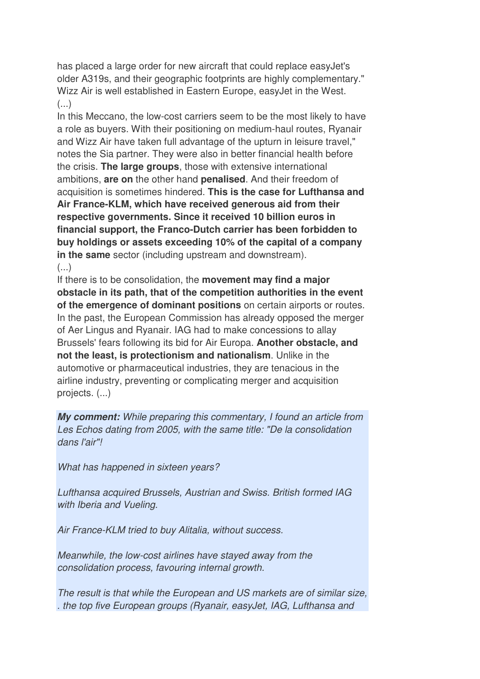has placed a large order for new aircraft that could replace easyJet's older A319s, and their geographic footprints are highly complementary." Wizz Air is well established in Eastern Europe, easyJet in the West.  $\left( \ldots \right)$ 

In this Meccano, the low-cost carriers seem to be the most likely to have a role as buyers. With their positioning on medium-haul routes, Ryanair and Wizz Air have taken full advantage of the upturn in leisure travel," notes the Sia partner. They were also in better financial health before the crisis. **The large groups**, those with extensive international ambitions, **are on** the other hand **penalised**. And their freedom of acquisition is sometimes hindered. **This is the case for Lufthansa and Air France-KLM, which have received generous aid from their respective governments. Since it received 10 billion euros in financial support, the Franco-Dutch carrier has been forbidden to buy holdings or assets exceeding 10% of the capital of a company in the same** sector (including upstream and downstream).  $\left(\ldots\right)$ 

If there is to be consolidation, the **movement may find a major obstacle in its path, that of the competition authorities in the event of the emergence of dominant positions** on certain airports or routes. In the past, the European Commission has already opposed the merger of Aer Lingus and Ryanair. IAG had to make concessions to allay Brussels' fears following its bid for Air Europa. **Another obstacle, and not the least, is protectionism and nationalism**. Unlike in the automotive or pharmaceutical industries, they are tenacious in the airline industry, preventing or complicating merger and acquisition projects. (...)

**My comment:** While preparing this commentary, I found an article from Les Echos dating from 2005, with the same title: "De la consolidation dans l'air"!

What has happened in sixteen years?

Lufthansa acquired Brussels, Austrian and Swiss. British formed IAG with Iberia and Vueling.

Air France-KLM tried to buy Alitalia, without success.

Meanwhile, the low-cost airlines have stayed away from the consolidation process, favouring internal growth.

The result is that while the European and US markets are of similar size, . the top five European groups (Ryanair, easyJet, IAG, Lufthansa and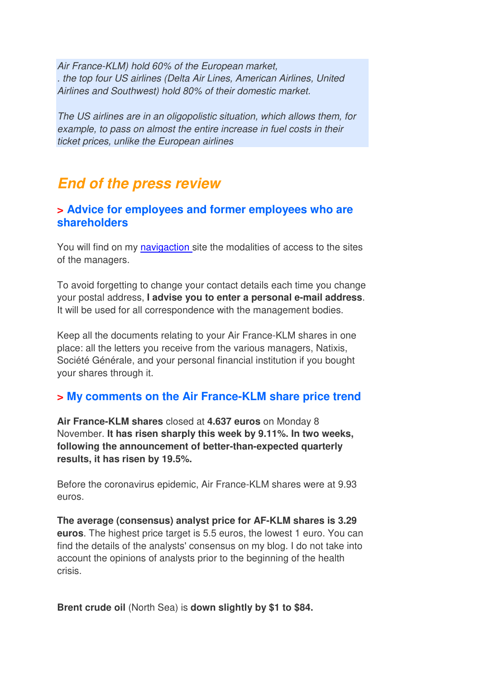Air France-KLM) hold 60% of the European market, . the top four US airlines (Delta Air Lines, American Airlines, United Airlines and Southwest) hold 80% of their domestic market.

The US airlines are in an oligopolistic situation, which allows them, for example, to pass on almost the entire increase in fuel costs in their ticket prices, unlike the European airlines

## **End of the press review**

#### **> Advice for employees and former employees who are shareholders**

You will find on my navigaction site the modalities of access to the sites of the managers.

To avoid forgetting to change your contact details each time you change your postal address, **I advise you to enter a personal e-mail address**. It will be used for all correspondence with the management bodies.

Keep all the documents relating to your Air France-KLM shares in one place: all the letters you receive from the various managers, Natixis, Société Générale, and your personal financial institution if you bought your shares through it.

## **> My comments on the Air France-KLM share price trend**

**Air France-KLM shares** closed at **4.637 euros** on Monday 8 November. **It has risen sharply this week by 9.11%. In two weeks, following the announcement of better-than-expected quarterly results, it has risen by 19.5%.**

Before the coronavirus epidemic, Air France-KLM shares were at 9.93 euros.

**The average (consensus) analyst price for AF-KLM shares is 3.29 euros**. The highest price target is 5.5 euros, the lowest 1 euro. You can find the details of the analysts' consensus on my blog. I do not take into account the opinions of analysts prior to the beginning of the health crisis.

**Brent crude oil** (North Sea) is **down slightly by \$1 to \$84.**